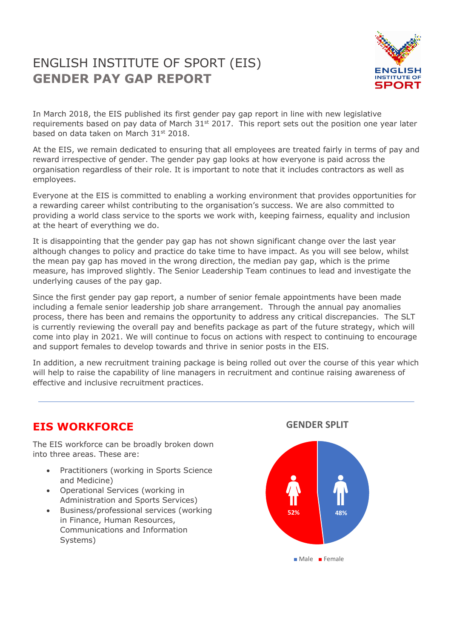# ENGLISH INSTITUTE OF SPORT (EIS) **GENDER PAY GAP REPORT**



In March 2018, the EIS published its first gender pay gap report in line with new legislative requirements based on pay data of March  $31^{st}$  2017. This report sets out the position one year later based on data taken on March 31st 2018.

At the EIS, we remain dedicated to ensuring that all employees are treated fairly in terms of pay and reward irrespective of gender. The gender pay gap looks at how everyone is paid across the organisation regardless of their role. It is important to note that it includes contractors as well as employees.

Everyone at the EIS is committed to enabling a working environment that provides opportunities for a rewarding career whilst contributing to the organisation's success. We are also committed to providing a world class service to the sports we work with, keeping fairness, equality and inclusion at the heart of everything we do.

It is disappointing that the gender pay gap has not shown significant change over the last year although changes to policy and practice do take time to have impact. As you will see below, whilst the mean pay gap has moved in the wrong direction, the median pay gap, which is the prime measure, has improved slightly. The Senior Leadership Team continues to lead and investigate the underlying causes of the pay gap.

Since the first gender pay gap report, a number of senior female appointments have been made including a female senior leadership job share arrangement. Through the annual pay anomalies process, there has been and remains the opportunity to address any critical discrepancies. The SLT is currently reviewing the overall pay and benefits package as part of the future strategy, which will come into play in 2021. We will continue to focus on actions with respect to continuing to encourage and support females to develop towards and thrive in senior posts in the EIS.

In addition, a new recruitment training package is being rolled out over the course of this year which will help to raise the capability of line managers in recruitment and continue raising awareness of effective and inclusive recruitment practices.

### **EIS WORKFORCE**

The EIS workforce can be broadly broken down into three areas. These are:

- Practitioners (working in Sports Science and Medicine)
- Operational Services (working in Administration and Sports Services)
- Business/professional services (working in Finance, Human Resources, Communications and Information Systems)





Male Female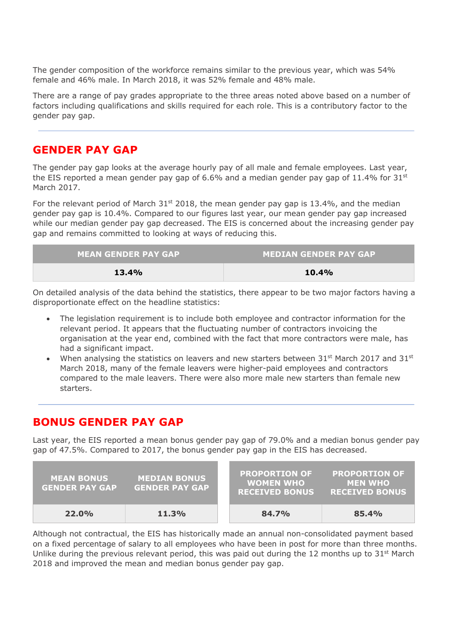The gender composition of the workforce remains similar to the previous year, which was 54% female and 46% male. In March 2018, it was 52% female and 48% male.

There are a range of pay grades appropriate to the three areas noted above based on a number of factors including qualifications and skills required for each role. This is a contributory factor to the gender pay gap.

#### **GENDER PAY GAP**

The gender pay gap looks at the average hourly pay of all male and female employees. Last year, the EIS reported a mean gender pay gap of 6.6% and a median gender pay gap of 11.4% for 31st March 2017.

For the relevant period of March 31st 2018, the mean gender pay gap is 13.4%, and the median gender pay gap is 10.4%. Compared to our figures last year, our mean gender pay gap increased while our median gender pay gap decreased. The EIS is concerned about the increasing gender pay gap and remains committed to looking at ways of reducing this.

| <b>MEAN GENDER PAY GAP</b> | <b>MEDIAN GENDER PAY GAP</b> |  |
|----------------------------|------------------------------|--|
| <b>13.4%</b>               | 10.4%                        |  |

On detailed analysis of the data behind the statistics, there appear to be two major factors having a disproportionate effect on the headline statistics:

- The legislation requirement is to include both employee and contractor information for the relevant period. It appears that the fluctuating number of contractors invoicing the organisation at the year end, combined with the fact that more contractors were male, has had a significant impact.
- When analysing the statistics on leavers and new starters between  $31^{st}$  March 2017 and  $31^{st}$ March 2018, many of the female leavers were higher-paid employees and contractors compared to the male leavers. There were also more male new starters than female new starters.

#### **BONUS GENDER PAY GAP**

Last year, the EIS reported a mean bonus gender pay gap of 79.0% and a median bonus gender pay gap of 47.5%. Compared to 2017, the bonus gender pay gap in the EIS has decreased.

| <b>MEAN BONUS</b><br><b>GENDER PAY GAP</b> | <b>MEDIAN BONUS</b><br><b>GENDER PAY GAP</b> | <b>PROPORTION OF</b><br><b>WOMEN WHO</b><br><b>RECEIVED BONUS</b> | <b>PROPORTION OF</b><br><b>MEN WHO</b><br><b>RECEIVED BONUS</b> |
|--------------------------------------------|----------------------------------------------|-------------------------------------------------------------------|-----------------------------------------------------------------|
| 22.0%                                      | 11.3%                                        | 84.7%                                                             | 85.4%                                                           |

Although not contractual, the EIS has historically made an annual non-consolidated payment based on a fixed percentage of salary to all employees who have been in post for more than three months. Unlike during the previous relevant period, this was paid out during the 12 months up to  $31^{st}$  March 2018 and improved the mean and median bonus gender pay gap.